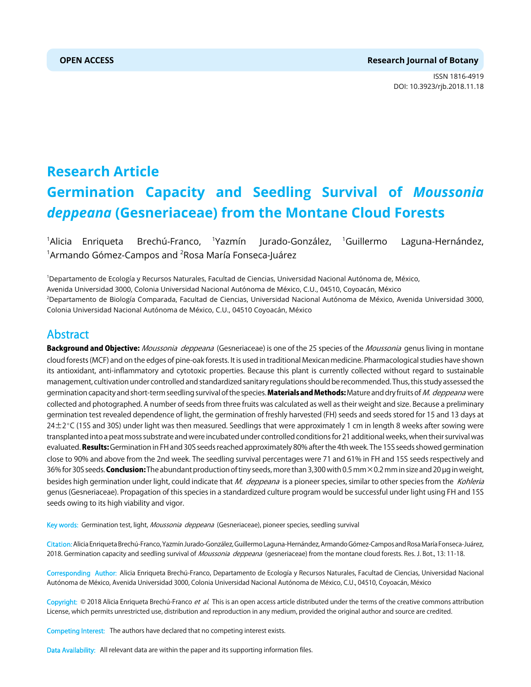### **OPEN ACCESS Research Journal of Botany**

ISSN 1816-4919 DOI: 10.3923/rjb.2018.11.18



# **Research Article Germination Capacity and Seedling Survival of** *Moussonia deppeana* **(Gesneriaceae) from the Montane Cloud Forests**

<sup>1</sup>Alicia Enrigueta Brechú-Franco, <sup>1</sup>Yazmín Jurado-González, <sup>1</sup>Guillermo Laguna-Hernández,  $^{\rm 1}$ Armando Gómez-Campos and  $^{\rm 2}$ Rosa María Fonseca-Juárez

1 Departamento de Ecología y Recursos Naturales, Facultad de Ciencias, Universidad Nacional Autónoma de, México, Avenida Universidad 3000, Colonia Universidad Nacional Autónoma de México, C.U., 04510, Coyoacán, México 2 Departamento de Biología Comparada, Facultad de Ciencias, Universidad Nacional Autónoma de México, Avenida Universidad 3000, Colonia Universidad Nacional Autónoma de México, C.U., 04510 Coyoacán, México

## Abstract

Background and Objective: Moussonia deppeana (Gesneriaceae) is one of the 25 species of the Moussonia genus living in montane cloud forests (MCF) and on the edges of pine-oak forests. It is used in traditional Mexican medicine. Pharmacological studies have shown its antioxidant, anti-inflammatory and cytotoxic properties. Because this plant is currently collected without regard to sustainable management, cultivation under controlled and standardized sanitary regulations should be recommended. Thus, this study assessed the germination capacity and short-term seedling survival of the species. Materials and Methods: Mature and dry fruits of M. deppeana were collected and photographed. A number of seeds from three fruits was calculated as well as their weight and size. Because a preliminary germination test revealed dependence of light, the germination of freshly harvested (FH) seeds and seeds stored for 15 and 13 days at  $24\pm2$  °C (15S and 30S) under light was then measured. Seedlings that were approximately 1 cm in length 8 weeks after sowing were transplanted into a peat moss substrate and were incubated under controlled conditions for 21 additional weeks, when their survival was evaluated. Results: Germination in FH and 30S seeds reached approximately 80% after the 4th week. The 15S seeds showed germination close to 90% and above from the 2nd week. The seedling survival percentages were 71 and 61% in FH and 15S seeds respectively and 36% for 30S seeds. Conclusion: The abundant production of tiny seeds, more than 3,300 with 0.5 mm  $\times$ 0.2 mm in size and 20 µg in weight, besides high germination under light, could indicate that M. deppeana is a pioneer species, similar to other species from the Kohleria genus (Gesneriaceae). Propagation of this species in a standardized culture program would be successful under light using FH and 15S seeds owing to its high viability and vigor.

Key words: Germination test, light, Moussonia deppeana (Gesneriaceae), pioneer species, seedling survival

Citation: Alicia Enriqueta Brechú-Franco, Yazmín Jurado-González, Guillermo Laguna-Hernández, Armando Gómez-Campos and Rosa María Fonseca-Juárez, 2018. Germination capacity and seedling survival of Moussonia deppeana (gesneriaceae) from the montane cloud forests. Res. J. Bot., 13: 11-18.

Corresponding Author: Alicia Enriqueta Brechú-Franco, Departamento de Ecología y Recursos Naturales, Facultad de Ciencias, Universidad Nacional Autónoma de México, Avenida Universidad 3000, Colonia Universidad Nacional Autónoma de México, C.U., 04510, Coyoacán, México

Copyright: © 2018 Alicia Enriqueta Brechú-Franco et al. This is an open access article distributed under the terms of the creative commons attribution License, which permits unrestricted use, distribution and reproduction in any medium, provided the original author and source are credited.

Competing Interest: The authors have declared that no competing interest exists.

Data Availability: All relevant data are within the paper and its supporting information files.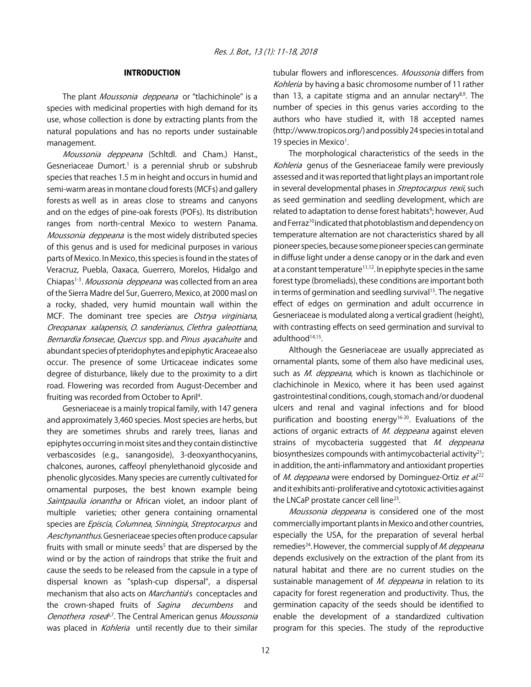#### INTRODUCTION

The plant *Moussonia deppeana* or "tlachichinole" is a species with medicinal properties with high demand for its use, whose collection is done by extracting plants from the natural populations and has no reports under sustainable management.

Moussonia deppeana (Schltdl. and Cham.) Hanst., Gesneriaceae Dumort.<sup>1</sup> is a perennial shrub or subshrub species that reaches 1.5 m in height and occurs in humid and semi-warm areas in montane cloud forests (MCFs) and gallery forests as well as in areas close to streams and canyons and on the edges of pine-oak forests (POFs). Its distribution ranges from north-central Mexico to western Panama. Moussonia deppeana is the most widely distributed species of this genus and is used for medicinal purposes in various parts of Mexico. In Mexico, this species is found in the states of Veracruz, Puebla, Oaxaca, Guerrero, Morelos, Hidalgo and Chiapas<sup>1-3</sup>. *Moussonia deppeana* was collected from an area of the Sierra Madre del Sur, Guerrero, Mexico, at 2000 masl on a rocky, shaded, very humid mountain wall within the MCF. The dominant tree species are Ostrya virginiana, Oreopanax xalapensis, O. sanderianus, Clethra galeottiana, Bernardia fonsecae, Quercus spp. and Pinus ayacahuite and abundant species of pteridophytes and epiphytic Araceae also occur. The presence of some Urticaceae indicates some degree of disturbance, likely due to the proximity to a dirt road. Flowering was recorded from August-December and fruiting was recorded from October to April<sup>4</sup>.

Gesneriaceae is a mainly tropical family, with 147 genera and approximately 3,460 species. Most species are herbs, but they are sometimes shrubs and rarely trees, lianas and epiphytes occurring in moist sites and they contain distinctive verbascosides (e.g., sanangoside), 3-deoxyanthocyanins, chalcones, aurones, caffeoyl phenylethanoid glycoside and phenolic glycosides. Many species are currently cultivated for ornamental purposes, the best known example being Saintpaulia ionantha or African violet, an indoor plant of multiple varieties; other genera containing ornamental species are Episcia, Columnea, Sinningia, Streptocarpus and Aeschynanthus. Gesneriaceae species often produce capsular fruits with small or minute seeds<sup>5</sup> that are dispersed by the wind or by the action of raindrops that strike the fruit and cause the seeds to be released from the capsule in a type of dispersal known as "splash-cup dispersal", a dispersal mechanism that also acts on *Marchantia*'s conceptacles and the crown-shaped fruits of Sagina decumbens and Oenothera rosea<sup>6,7</sup>. The Central American genus Moussonia was placed in Kohleria until recently due to their similar

tubular flowers and inflorescences. Moussonia differs from Kohleria by having a basic chromosome number of 11 rather than 13, a capitate stigma and an annular nectary<sup>8,9</sup>. The number of species in this genus varies according to the authors who have studied it, with 18 accepted names (http://www.tropicos.org/) and possibly 24 species in total and 19 species in Mexico<sup>1</sup>.

The morphological characteristics of the seeds in the Kohleria genus of the Gesneriaceae family were previously assessed and it was reported that light plays an important role in several developmental phases in *Streptocarpus rexii*, such as seed germination and seedling development, which are related to adaptation to dense forest habitats<sup>9</sup>; however, Aud and Ferraz<sup>10</sup> indicated that photoblastism and dependency on temperature alternation are not characteristics shared by all pioneer species, because some pioneer species can germinate in diffuse light under a dense canopy or in the dark and even at a constant temperature<sup>11,12</sup>. In epiphyte species in the same forest type (bromeliads), these conditions are important both in terms of germination and seedling survival $13$ . The negative effect of edges on germination and adult occurrence in Gesneriaceae is modulated along a vertical gradient (height), with contrasting effects on seed germination and survival to adulthood<sup>14,15</sup>.

Although the Gesneriaceae are usually appreciated as ornamental plants, some of them also have medicinal uses, such as M. deppeana, which is known as tlachichinole or clachichinole in Mexico, where it has been used against gastrointestinal conditions, cough, stomach and/or duodenal ulcers and renal and vaginal infections and for blood purification and boosting energy<sup>16-20</sup>. Evaluations of the actions of organic extracts of M. deppeana against eleven strains of mycobacteria suggested that M. deppeana biosynthesizes compounds with antimycobacterial activity $21$ ; in addition, the anti-inflammatory and antioxidant properties of *M. deppeana* were endorsed by Dominguez-Ortiz et al.<sup>22</sup> and it exhibits anti-proliferative and cytotoxic activities against the LNCaP prostate cancer cell line<sup>23</sup>.

Moussonia deppeana is considered one of the most commercially important plants in Mexico and other countries, especially the USA, for the preparation of several herbal remedies<sup>24</sup>. However, the commercial supply of *M. deppeana* depends exclusively on the extraction of the plant from its natural habitat and there are no current studies on the sustainable management of M. deppeana in relation to its capacity for forest regeneration and productivity. Thus, the germination capacity of the seeds should be identified to enable the development of a standardized cultivation program for this species. The study of the reproductive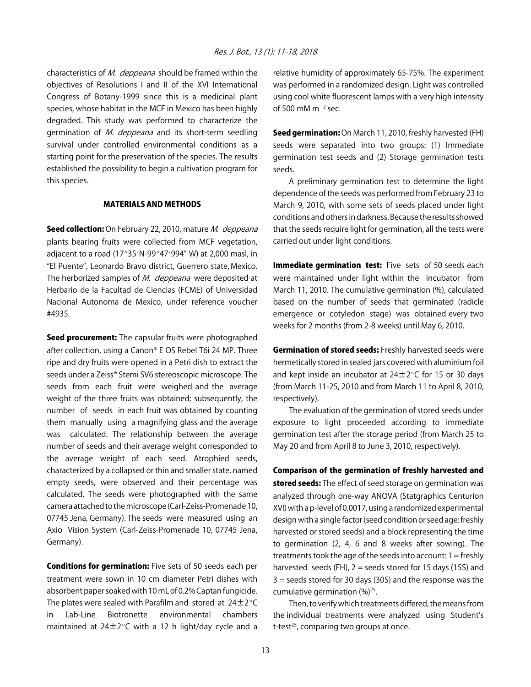characteristics of M. deppeana should be framed within the objectives of Resolutions I and II of the XVI International Congress of Botany-1999 since this is a medicinal plant species, whose habitat in the MCF in Mexico has been highly degraded. This study was performed to characterize the germination of M. deppeana and its short-term seedling survival under controlled environmental conditions as a starting point for the preservation of the species. The results established the possibility to begin a cultivation program for this species.

#### MATERIALS AND METHODS

Seed collection: On February 22, 2010, mature M. deppeana plants bearing fruits were collected from MCF vegetation, adjacent to a road (17°35'N-99°47'994" W) at 2,000 masl, in "El Puente", Leonardo Bravo district, Guerrero state, Mexico. The herborized samples of M. deppeana were deposited at Herbario de la Facultad de Ciencias (FCME) of Universidad Nacional Autonoma de Mexico, under reference voucher #4935.

Seed procurement: The capsular fruits were photographed after collection, using a Canon® E OS Rebel T6i 24 MP. Three ripe and dry fruits were opened in a Petri dish to extract the seeds under a Zeiss® Stemi SV6 stereoscopic microscope. The seeds from each fruit were weighed and the average weight of the three fruits was obtained; subsequently, the number of seeds in each fruit was obtained by counting them manually using a magnifying glass and the average was calculated. The relationship between the average number of seeds and their average weight corresponded to the average weight of each seed. Atrophied seeds, characterized by a collapsed or thin and smaller state, named empty seeds, were observed and their percentage was calculated. The seeds were photographed with the same camera attached to the microscope (Carl-Zeiss-Promenade 10, 07745 Jena, Germany). The seeds were measured using an Axio Vision System (Carl-Zeiss-Promenade 10, 07745 Jena, Germany).

**Conditions for germination:** Five sets of 50 seeds each per treatment were sown in 10 cm diameter Petri dishes with absorbent paper soaked with 10 mL of 0.2% Captan fungicide. The plates were sealed with Parafilm and stored at  $24\pm2^{\circ}C$ in Lab-Line Biotronette environmental chambers maintained at  $24\pm2^{\circ}$ C with a 12 h light/day cycle and a

relative humidity of approximately 65-75%. The experiment was performed in a randomized design. Light was controlled using cool white fluorescent lamps with a very high intensity of 500 mM m $^{-2}$  sec.

Seed germination: On March 11, 2010, freshly harvested (FH) seeds were separated into two groups: (1) Immediate germination test seeds and (2) Storage germination tests seeds.

A preliminary germination test to determine the light dependence of the seeds was performed from February 23 to March 9, 2010, with some sets of seeds placed under light conditions and others in darkness. Because the results showed that the seeds require light for germination, all the tests were carried out under light conditions.

Immediate germination test: Five sets of 50 seeds each were maintained under light within the incubator from March 11, 2010. The cumulative germination (%), calculated based on the number of seeds that germinated (radicle emergence or cotyledon stage) was obtained every two weeks for 2 months (from 2-8 weeks) until May 6, 2010.

**Germination of stored seeds:** Freshly harvested seeds were hermetically stored in sealed jars covered with aluminium foil and kept inside an incubator at  $24\pm2^{\circ}$ C for 15 or 30 days (from March 11-25, 2010 and from March 11 to April 8, 2010, respectively).

The evaluation of the germination of stored seeds under exposure to light proceeded according to immediate germination test after the storage period (from March 25 to May 20 and from April 8 to June 3, 2010, respectively).

Comparison of the germination of freshly harvested and stored seeds: The effect of seed storage on germination was analyzed through one-way ANOVA (Statgraphics Centurion XVI) with a p-level of 0.0017, using a randomized experimental design with a single factor (seed condition or seed age: freshly harvested or stored seeds) and a block representing the time to germination (2, 4, 6 and 8 weeks after sowing). The treatments took the age of the seeds into account:  $1 =$  freshly harvested seeds (FH),  $2 =$  seeds stored for 15 days (15S) and 3 = seeds stored for 30 days (30S) and the response was the cumulative germination  $(\%)^{25}$ .

Then, to verify which treatments differed, the means from the individual treatments were analyzed using Student's t-test $^{25}$ , comparing two groups at once.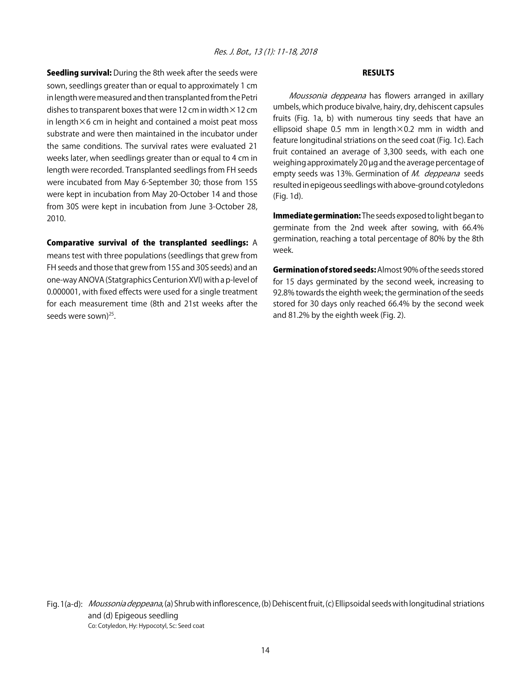**Seedling survival:** During the 8th week after the seeds were sown, seedlings greater than or equal to approximately 1 cm in length were measured and then transplanted from the Petri dishes to transparent boxes that were 12 cm in width  $\times$  12 cm in length $\times$ 6 cm in height and contained a moist peat moss substrate and were then maintained in the incubator under the same conditions. The survival rates were evaluated 21 weeks later, when seedlings greater than or equal to 4 cm in length were recorded. Transplanted seedlings from FH seeds were incubated from May 6-September 30; those from 15S were kept in incubation from May 20-October 14 and those from 30S were kept in incubation from June 3-October 28, 2010.

Comparative survival of the transplanted seedlings: A means test with three populations (seedlings that grew from FH seeds and those that grew from 15S and 30S seeds) and an one-way ANOVA (Statgraphics Centurion XVI) with a p-level of 0.000001, with fixed effects were used for a single treatment for each measurement time (8th and 21st weeks after the seeds were sown)<sup>25</sup>.

#### RESULTS

Moussonia deppeana has flowers arranged in axillary umbels, which produce bivalve, hairy, dry, dehiscent capsules fruits (Fig. 1a, b) with numerous tiny seeds that have an ellipsoid shape 0.5 mm in length $\times$ 0.2 mm in width and feature longitudinal striations on the seed coat (Fig. 1c). Each fruit contained an average of 3,300 seeds, with each one weighing approximately 20 µg and the average percentage of empty seeds was 13%. Germination of M. deppeana seeds resulted in epigeous seedlings with above-ground cotyledons (Fig. 1d).

Immediate germination: The seeds exposed to light began to germinate from the 2nd week after sowing, with 66.4% germination, reaching a total percentage of 80% by the 8th week.

Germination of stored seeds: Almost 90% of the seeds stored for 15 days germinated by the second week, increasing to 92.8% towards the eighth week; the germination of the seeds stored for 30 days only reached 66.4% by the second week and 81.2% by the eighth week (Fig. 2).



Fig. 1(a-d): *Moussonia deppeana*, (a) Shrub with inflorescence, (b) Dehiscent fruit, (c) Ellipsoidal seeds with longitudinal striations and (d) Epigeous seedling Co: Cotyledon, Hy: Hypocotyl, Sc: Seed coat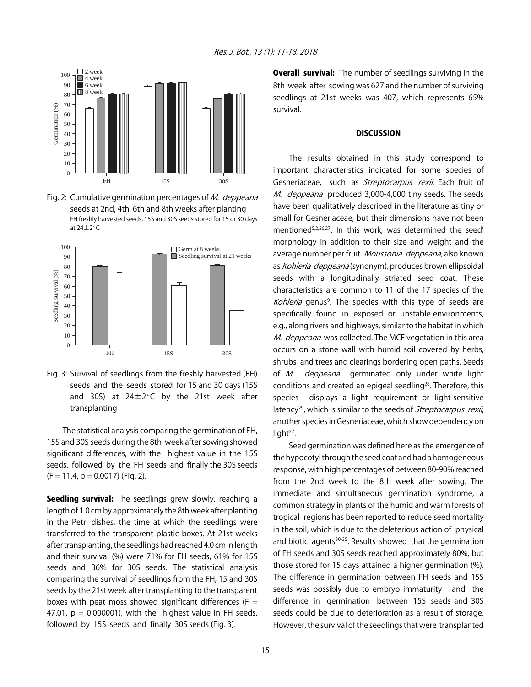

Fig. 2: Cumulative germination percentages of M. deppeana seeds at 2nd, 4th, 6th and 8th weeks after planting FH freshly harvested seeds, 15S and 30S seeds stored for 15 or 30 days at  $24 \pm 2^{\circ}C$ 



Fig. 3: Survival of seedlings from the freshly harvested (FH) seeds and the seeds stored for 15 and 30 days (15S and 30S) at  $24\pm2^{\circ}$ C by the 21st week after transplanting

The statistical analysis comparing the germination of FH, 15S and 30S seeds during the 8th week after sowing showed significant differences, with the highest value in the 15S seeds, followed by the FH seeds and finally the 30S seeds  $(F = 11.4, p = 0.0017)$  (Fig. 2).

Seedling survival: The seedlings grew slowly, reaching a length of 1.0 cm by approximately the 8th week after planting in the Petri dishes, the time at which the seedlings were transferred to the transparent plastic boxes. At 21st weeks after transplanting, the seedlings had reached 4.0 cm in length and their survival (%) were 71% for FH seeds, 61% for 15S seeds and 36% for 30S seeds. The statistical analysis comparing the survival of seedlings from the FH, 15 and 30S seeds by the 21st week after transplanting to the transparent boxes with peat moss showed significant differences ( $F =$ 47.01,  $p = 0.000001$ , with the highest value in FH seeds, followed by 15S seeds and finally 30S seeds (Fig. 3).

**Overall survival:** The number of seedlings surviving in the 8th week after sowing was 627 and the number of surviving seedlings at 21st weeks was 407, which represents 65% survival.

#### **DISCUSSION**

The results obtained in this study correspond to important characteristics indicated for some species of Gesneriaceae, such as Streptocarpus rexii. Each fruit of M. deppeana produced 3,000-4,000 tiny seeds. The seeds have been qualitatively described in the literature as tiny or small for Gesneriaceae, but their dimensions have not been mentioned<sup>5,2,26,27</sup>. In this work, was determined the seed' morphology in addition to their size and weight and the average number per fruit. Moussonia deppeana, also known as Kohleria deppeana (synonym), produces brown ellipsoidal seeds with a longitudinally striated seed coat. These characteristics are common to 11 of the 17 species of the Kohleria genus<sup>9</sup>. The species with this type of seeds are specifically found in exposed or unstable environments, e.g., along rivers and highways, similar to the habitat in which M. deppeana was collected. The MCF vegetation in this area occurs on a stone wall with humid soil covered by herbs, shrubs and trees and clearings bordering open paths. Seeds of M. deppeana germinated only under white light conditions and created an epigeal seedling<sup>28</sup>. Therefore, this species displays a light requirement or light-sensitive latency<sup>29</sup>, which is similar to the seeds of *Streptocarpus rexii*, another species in Gesneriaceae, which show dependency on light<sup>27</sup>.

Seed germination was defined here as the emergence of the hypocotyl through the seed coat and had a homogeneous response, with high percentages of between 80-90% reached from the 2nd week to the 8th week after sowing. The immediate and simultaneous germination syndrome, a common strategy in plants of the humid and warm forests of tropical regions has been reported to reduce seed mortality in the soil, which is due to the deleterious action of physical and biotic agents $30-35$ . Results showed that the germination of FH seeds and 30S seeds reached approximately 80%, but those stored for 15 days attained a higher germination (%). The difference in germination between FH seeds and 15S seeds was possibly due to embryo immaturity and the difference in germination between 15S seeds and 30S seeds could be due to deterioration as a result of storage. However, the survival of the seedlings that were transplanted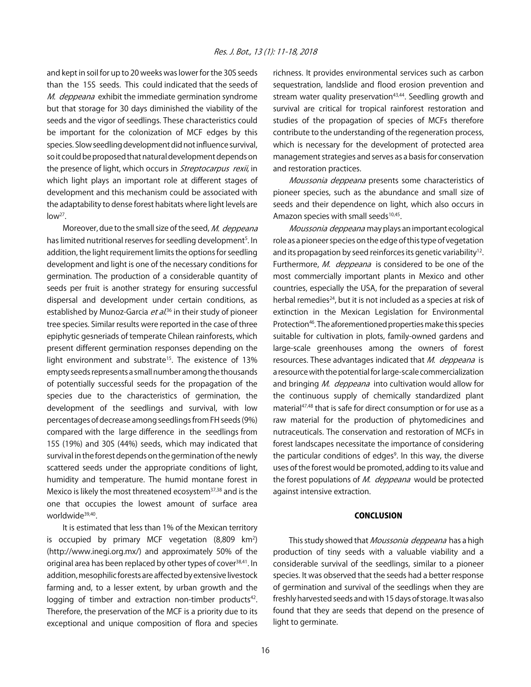and kept in soil for up to 20 weeks was lower for the 30S seeds than the 15S seeds. This could indicated that the seeds of M. deppeana exhibit the immediate germination syndrome but that storage for 30 days diminished the viability of the seeds and the vigor of seedlings. These characteristics could be important for the colonization of MCF edges by this species. Slow seedling development did not influence survival, so it could be proposed that natural development depends on the presence of light, which occurs in *Streptocarpus rexii*, in which light plays an important role at different stages of development and this mechanism could be associated with the adaptability to dense forest habitats where light levels are  $low<sup>27</sup>$ .

Moreover, due to the small size of the seed, M. deppeana has limited nutritional reserves for seedling development<sup>5</sup>. In addition, the light requirement limits the options for seedling development and light is one of the necessary conditions for germination. The production of a considerable quantity of seeds per fruit is another strategy for ensuring successful dispersal and development under certain conditions, as established by Munoz-Garcia *et al*.<sup>36</sup> in their study of pioneer tree species. Similar results were reported in the case of three epiphytic gesneriads of temperate Chilean rainforests, which present different germination responses depending on the light environment and substrate<sup>15</sup>. The existence of 13% empty seeds represents a small number among the thousands of potentially successful seeds for the propagation of the species due to the characteristics of germination, the development of the seedlings and survival, with low percentages of decrease among seedlings from FH seeds (9%) compared with the large difference in the seedlings from 15S (19%) and 30S (44%) seeds, which may indicated that survival in the forest depends on the germination of the newly scattered seeds under the appropriate conditions of light, humidity and temperature. The humid montane forest in Mexico is likely the most threatened ecosystem<sup>37,38</sup> and is the one that occupies the lowest amount of surface area worldwide<sup>39,40</sup>.

It is estimated that less than 1% of the Mexican territory is occupied by primary MCF vegetation  $(8,809 \text{ km}^2)$ (http://www.inegi.org.mx/) and approximately 50% of the original area has been replaced by other types of cover<sup>38,41</sup>. In addition, mesophilic forests are affected by extensive livestock farming and, to a lesser extent, by urban growth and the logging of timber and extraction non-timber products $42$ . Therefore, the preservation of the MCF is a priority due to its exceptional and unique composition of flora and species

richness. It provides environmental services such as carbon sequestration, landslide and flood erosion prevention and stream water quality preservation<sup>43,44</sup>. Seedling growth and survival are critical for tropical rainforest restoration and studies of the propagation of species of MCFs therefore contribute to the understanding of the regeneration process, which is necessary for the development of protected area management strategies and serves as a basis for conservation and restoration practices.

Moussonia deppeana presents some characteristics of pioneer species, such as the abundance and small size of seeds and their dependence on light, which also occurs in Amazon species with small seeds<sup>10,45</sup>.

Moussonia deppeana may plays an important ecological role as a pioneer species on the edge of this type of vegetation and its propagation by seed reinforces its genetic variability<sup>12</sup>. Furthermore, M. deppeana is considered to be one of the most commercially important plants in Mexico and other countries, especially the USA, for the preparation of several herbal remedies<sup>24</sup>, but it is not included as a species at risk of extinction in the Mexican Legislation for Environmental Protection<sup>46</sup>. The aforementioned properties make this species suitable for cultivation in plots, family-owned gardens and large-scale greenhouses among the owners of forest resources. These advantages indicated that M. deppeana is a resource with the potential for large-scale commercialization and bringing M. deppeana into cultivation would allow for the continuous supply of chemically standardized plant material<sup>47,48</sup> that is safe for direct consumption or for use as a raw material for the production of phytomedicines and nutraceuticals. The conservation and restoration of MCFs in forest landscapes necessitate the importance of considering the particular conditions of edges<sup>9</sup>. In this way, the diverse uses of the forest would be promoted, adding to its value and the forest populations of M. deppeana would be protected against intensive extraction.

#### **CONCLUSION**

This study showed that Moussonia deppeana has a high production of tiny seeds with a valuable viability and a considerable survival of the seedlings, similar to a pioneer species. It was observed that the seeds had a better response of germination and survival of the seedlings when they are freshly harvested seeds and with 15 days of storage. It was also found that they are seeds that depend on the presence of light to germinate.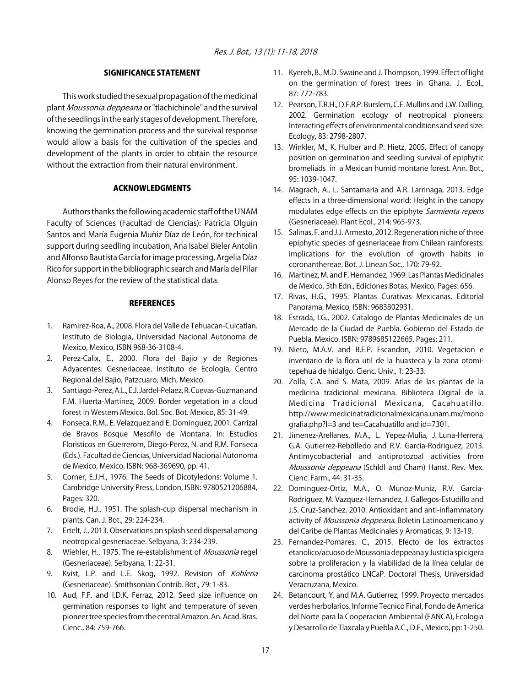#### SIGNIFICANCE STATEMENT

This work studied the sexual propagation of the medicinal plant Moussonia deppeana or "tlachichinole" and the survival of the seedlings in the early stages of development. Therefore, knowing the germination process and the survival response would allow a basis for the cultivation of the species and development of the plants in order to obtain the resource without the extraction from their natural environment.

#### ACKNOWLEDGMENTS

Authors thanks the following academic staff of the UNAM Faculty of Sciences (Facultad de Ciencias): Patricia Olguín Santos and María Eugenia Muñiz Díaz de León, for technical support during seedling incubation, Ana Isabel Bieler Antolin and Alfonso Bautista García for image processing, Argelia Díaz Rico for support in the bibliographic search and María del Pilar Alonso Reyes for the review of the statistical data.

#### **REFERENCES**

- 1. Ramirez-Roa, A., 2008. Flora del Valle de Tehuacan-Cuicatlan. Instituto de Biologia, Universidad Nacional Autonoma de Mexico, Mexico, ISBN 968-36-3108-4.
- 2. Perez-Calix, E., 2000. Flora del Bajio y de Regiones Adyacentes: Gesneriaceae. Instituto de Ecologia, Centro Regional del Bajio, Patzcuaro, Mich, Mexico.
- 3. Santiago-Perez, A.L., E.J. Jardel-Pelaez, R. Cuevas-Guzman and F.M. Huerta-Martinez, 2009. Border vegetation in a cloud forest in Western Mexico. Bol. Soc. Bot. Mexico, 85: 31-49.
- 4. Fonseca, R.M., E. Velazquez and E. Dominguez, 2001. Carrizal de Bravos Bosque Mesofilo de Montana. In: Estudios Floristicos en Guerrerom, Diego-Perez, N. and R.M. Fonseca (Eds.). Facultad de Ciencias, Universidad Nacional Autonoma de Mexico, Mexico, ISBN: 968-369690, pp: 41.
- 5. Corner, E.J.H., 1976. The Seeds of Dicotyledons: Volume 1. Cambridge University Press, London, ISBN: 9780521206884, Pages: 320.
- 6. Brodie, H.J., 1951. The splash-cup dispersal mechanism in plants. Can. J. Bot., 29: 224-234.
- 7. Ertelt, J., 2013. Observations on splash seed dispersal among neotropical gesneriaceae. Selbyana, 3: 234-239.
- 8. Wiehler, H., 1975. The re-establishment of *Moussonia* regel (Gesneriaceae). Selbyana, 1: 22-31.
- 9. Kvist, L.P. and L.E. Skog, 1992. Revision of Kohleria (Gesneriaceae). Smithsonian Contrib. Bot., 79: 1-83.
- 10. Aud, F.F. and I.D.K. Ferraz, 2012. Seed size influence on germination responses to light and temperature of seven pioneer tree species from the central Amazon. An. Acad. Bras. Cienc., 84: 759-766.
- 11. Kyereh, B., M.D. Swaine and J. Thompson, 1999. Effect of light on the germination of forest trees in Ghana. J. Ecol., 87: 772-783.
- 12. Pearson, T.R.H., D.F.R.P. Burslem, C.E. Mullins and J.W. Dalling, 2002. Germination ecology of neotropical pioneers: Interacting effects of environmental conditions and seed size. Ecology, 83: 2798-2807.
- 13. Winkler, M., K. Hulber and P. Hietz, 2005. Effect of canopy position on germination and seedling survival of epiphytic bromeliads in a Mexican humid montane forest. Ann. Bot., 95: 1039-1047.
- 14. Magrach, A., L. Santamaria and A.R. Larrinaga, 2013. Edge effects in a three-dimensional world: Height in the canopy modulates edge effects on the epiphyte Sarmienta repens (Gesneriaceae). Plant Ecol., 214: 965-973.
- 15. Salinas, F. and J.J. Armesto, 2012. Regeneration niche of three epiphytic species of gesneriaceae from Chilean rainforests: implications for the evolution of growth habits in coronanthereae. Bot. J. Linean Soc., 170: 79-92.
- 16. Martinez, M. and F. Hernandez, 1969. Las Plantas Medicinales de Mexico. 5th Edn., Ediciones Botas, Mexico, Pages: 656.
- 17. Rivas, H.G., 1995. Plantas Curativas Mexicanas. Editorial Panorama, Mexico, ISBN: 9683802931.
- 18. Estrada, I.G., 2002. Catalogo de Plantas Medicinales de un Mercado de la Ciudad de Puebla. Gobierno del Estado de Puebla, Mexico, ISBN: 9789685122665, Pages: 211.
- 19. Nieto, M.A.V. and B.E.P. Escandon, 2010. Vegetacion e inventario de la flora util de la huasteca y la zona otomitepehua de hidalgo. Cienc. Univ., 1: 23-33.
- 20. Zolla, C.A. and S. Mata, 2009. Atlas de las plantas de la medicina tradicional mexicana. Biblioteca Digital de la Medicina Tradicional Mexicana, Cacahuatillo. http://www.medicinatradicionalmexicana.unam.mx/mono grafia.php?l=3 and te=Cacahuatillo and id=7301.
- 21. Jimenez-Arellanes, M.A., L. Yepez-Mulia, J. Luna-Herrera, G.A. Gutierrez-Rebolledo and R.V. Garcia-Rodriguez, 2013. Antimycobacterial and antiprotozoal activities from Moussonia deppeana (Schldl and Cham) Hanst. Rev. Mex. Cienc. Farm., 44: 31-35.
- 22. Dominguez-Ortiz, M.A., O. Munoz-Muniz, R.V. Garcia-Rodriguez, M. Vazquez-Hernandez, J. Gallegos-Estudillo and J.S. Cruz-Sanchez, 2010. Antioxidant and anti-inflammatory activity of Moussonia deppeana. Boletin Latinoamericano y del Caribe de Plantas Medicinales y Aromaticas, 9: 13-19.
- 23. Fernandez-Pomares, C., 2015. Efecto de los extractos etanolico/acuoso de Moussonia deppeana y Justicia spicigera sobre la proliferacion y la viabilidad de la línea celular de carcinoma prostático LNCaP. Doctoral Thesis, Universidad Veracruzana, Mexico.
- 24. Betancourt, Y. and M.A. Gutierrez, 1999. Proyecto mercados verdes herbolarios. Informe Tecnico Final, Fondo de America del Norte para la Cooperacion Ambiental (FANCA), Ecologia y Desarrollo de Tlaxcala y Puebla A.C., D.F., Mexico, pp: 1-250.